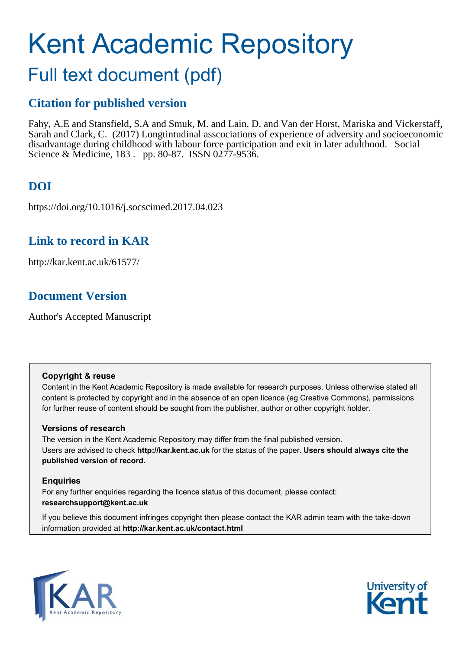# Kent Academic Repository

## Full text document (pdf)

## **Citation for published version**

Fahy, A.E and Stansfield, S.A and Smuk, M. and Lain, D. and Van der Horst, Mariska and Vickerstaff, Sarah and Clark, C. (2017) Longtintudinal asscociations of experience of adversity and socioeconomic disadvantage during childhood with labour force participation and exit in later adulthood. Social Science & Medicine, 183 . pp. 80-87. ISSN 0277-9536.

## **DOI**

https://doi.org/10.1016/j.socscimed.2017.04.023

### **Link to record in KAR**

http://kar.kent.ac.uk/61577/

## **Document Version**

Author's Accepted Manuscript

#### **Copyright & reuse**

Content in the Kent Academic Repository is made available for research purposes. Unless otherwise stated all content is protected by copyright and in the absence of an open licence (eg Creative Commons), permissions for further reuse of content should be sought from the publisher, author or other copyright holder.

#### **Versions of research**

The version in the Kent Academic Repository may differ from the final published version. Users are advised to check **http://kar.kent.ac.uk** for the status of the paper. **Users should always cite the published version of record.**

#### **Enquiries**

For any further enquiries regarding the licence status of this document, please contact: **researchsupport@kent.ac.uk**

If you believe this document infringes copyright then please contact the KAR admin team with the take-down information provided at **http://kar.kent.ac.uk/contact.html**



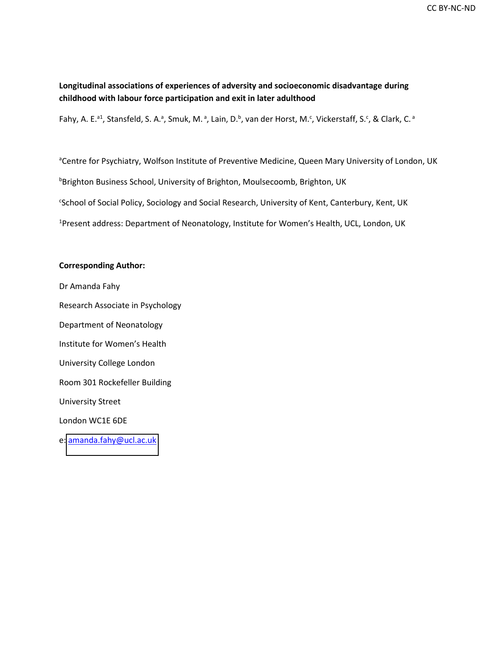#### **Longitudinal associations of experiences of adversity and socioeconomic disadvantage during childhood with labour force participation and exit in later adulthood**

Fahy, A. E.<sup>a1</sup>, Stansfeld, S. A.<sup>a</sup>, Smuk, M.<sup>a</sup>, Lain, D.<sup>b</sup>, van der Horst, M.<sup>c</sup>, Vickerstaff, S.<sup>c</sup>, & Clark, C.<sup>a</sup>

<sup>a</sup>Centre for Psychiatry, Wolfson Institute of Preventive Medicine, Queen Mary University of London, UK **bBrighton Business School, University of Brighton, Moulsecoomb, Brighton, UK** c School of Social Policy, Sociology and Social Research, University of Kent, Canterbury, Kent, UK <sup>1</sup>Present address: Department of Neonatology, Institute for Women's Health, UCL, London, UK

#### **Corresponding Author:**

Dr Amanda Fahy Research Associate in Psychology Department of Neonatology Institute for Women's Health University College London Room 301 Rockefeller Building University Street London WC1E 6DE e: [amanda.fahy@ucl.ac.uk](mailto:amanda.fahy@ucl.ac.uk)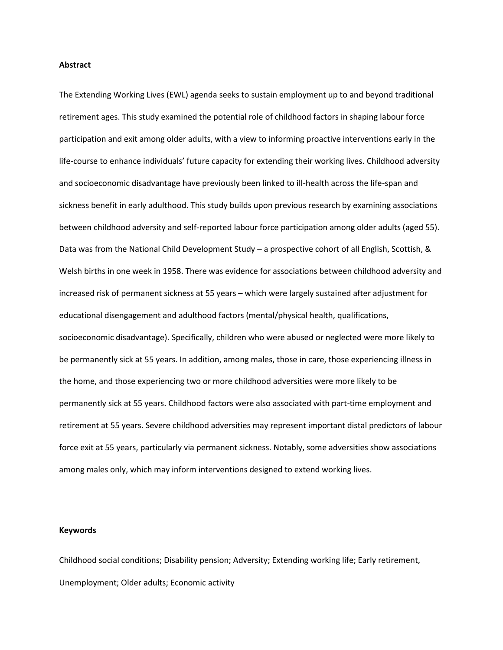#### **Abstract**

The Extending Working Lives (EWL) agenda seeks to sustain employment up to and beyond traditional retirement ages. This study examined the potential role of childhood factors in shaping labour force participation and exit among older adults, with a view to informing proactive interventions early in the life-course to enhance individuals' future capacity for extending their working lives. Childhood adversity and socioeconomic disadvantage have previously been linked to ill-health across the life-span and sickness benefit in early adulthood. This study builds upon previous research by examining associations between childhood adversity and self-reported labour force participation among older adults (aged 55). Data was from the National Child Development Study – a prospective cohort of all English, Scottish, & Welsh births in one week in 1958. There was evidence for associations between childhood adversity and increased risk of permanent sickness at 55 years - which were largely sustained after adjustment for educational disengagement and adulthood factors (mental/physical health, qualifications, socioeconomic disadvantage). Specifically, children who were abused or neglected were more likely to be permanently sick at 55 years. In addition, among males, those in care, those experiencing illness in the home, and those experiencing two or more childhood adversities were more likely to be permanently sick at 55 years. Childhood factors were also associated with part-time employment and retirement at 55 years. Severe childhood adversities may represent important distal predictors of labour force exit at 55 years, particularly via permanent sickness. Notably, some adversities show associations among males only, which may inform interventions designed to extend working lives.

#### **Keywords**

Childhood social conditions; Disability pension; Adversity; Extending working life; Early retirement, Unemployment; Older adults; Economic activity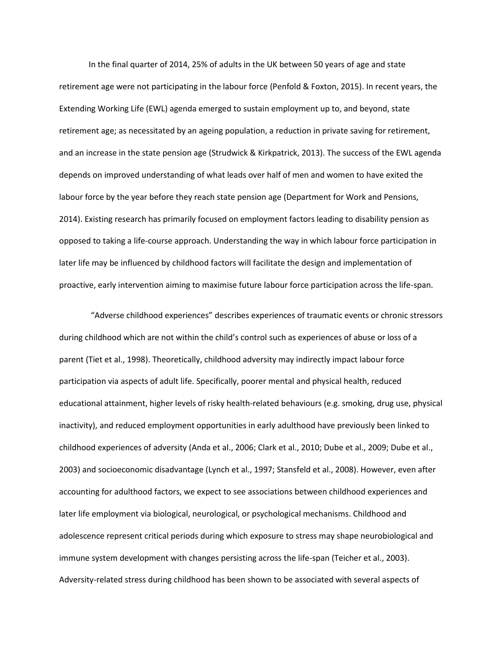In the final quarter of 2014, 25% of adults in the UK between 50 years of age and state retirement age were not participating in the labour force (Penfold & Foxton, 2015). In recent years, the Extending Working Life (EWL) agenda emerged to sustain employment up to, and beyond, state retirement age; as necessitated by an ageing population, a reduction in private saving for retirement, and an increase in the state pension age (Strudwick & Kirkpatrick, 2013). The success of the EWL agenda depends on improved understanding of what leads over half of men and women to have exited the labour force by the year before they reach state pension age (Department for Work and Pensions, 2014). Existing research has primarily focused on employment factors leading to disability pension as opposed to taking a life-course approach. Understanding the way in which labour force participation in later life may be influenced by childhood factors will facilitate the design and implementation of proactive, early intervention aiming to maximise future labour force participation across the life-span.

"Adverse childhood experiences" describes experiences of traumatic events or chronic stressors during childhood which are not within the child's control such as experiences of abuse or loss of a parent (Tiet et al., 1998). Theoretically, childhood adversity may indirectly impact labour force participation via aspects of adult life. Specifically, poorer mental and physical health, reduced educational attainment, higher levels of risky health-related behaviours (e.g. smoking, drug use, physical inactivity), and reduced employment opportunities in early adulthood have previously been linked to childhood experiences of adversity (Anda et al., 2006; Clark et al., 2010; Dube et al., 2009; Dube et al., 2003) and socioeconomic disadvantage (Lynch et al., 1997; Stansfeld et al., 2008). However, even after accounting for adulthood factors, we expect to see associations between childhood experiences and later life employment via biological, neurological, or psychological mechanisms. Childhood and adolescence represent critical periods during which exposure to stress may shape neurobiological and immune system development with changes persisting across the life-span (Teicher et al., 2003). Adversity-related stress during childhood has been shown to be associated with several aspects of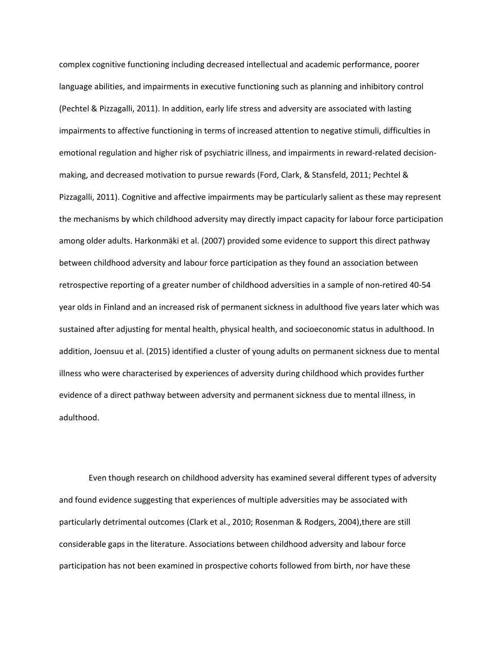complex cognitive functioning including decreased intellectual and academic performance, poorer language abilities, and impairments in executive functioning such as planning and inhibitory control (Pechtel & Pizzagalli, 2011). In addition, early life stress and adversity are associated with lasting impairments to affective functioning in terms of increased attention to negative stimuli, difficulties in emotional regulation and higher risk of psychiatric illness, and impairments in reward-related decisionmaking, and decreased motivation to pursue rewards (Ford, Clark, & Stansfeld, 2011; Pechtel & Pizzagalli, 2011). Cognitive and affective impairments may be particularly salient as these may represent the mechanisms by which childhood adversity may directly impact capacity for labour force participation among older adults. Harkonmäki et al. (2007) provided some evidence to support this direct pathway between childhood adversity and labour force participation as they found an association between retrospective reporting of a greater number of childhood adversities in a sample of non-retired 40-54 year olds in Finland and an increased risk of permanent sickness in adulthood five years later which was sustained after adjusting for mental health, physical health, and socioeconomic status in adulthood. In addition, Joensuu et al. (2015) identified a cluster of young adults on permanent sickness due to mental illness who were characterised by experiences of adversity during childhood which provides further evidence of a direct pathway between adversity and permanent sickness due to mental illness, in adulthood.

Even though research on childhood adversity has examined several different types of adversity and found evidence suggesting that experiences of multiple adversities may be associated with particularly detrimental outcomes (Clark et al., 2010; Rosenman & Rodgers, 2004),there are still considerable gaps in the literature. Associations between childhood adversity and labour force participation has not been examined in prospective cohorts followed from birth, nor have these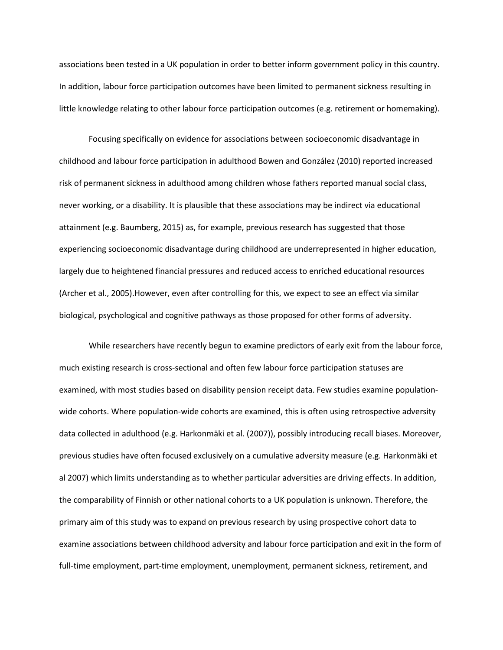associations been tested in a UK population in order to better inform government policy in this country. In addition, labour force participation outcomes have been limited to permanent sickness resulting in little knowledge relating to other labour force participation outcomes (e.g. retirement or homemaking).

Focusing specifically on evidence for associations between socioeconomic disadvantage in childhood and labour force participation in adulthood Bowen and González (2010) reported increased risk of permanent sickness in adulthood among children whose fathers reported manual social class, never working, or a disability. It is plausible that these associations may be indirect via educational attainment (e.g. Baumberg, 2015) as, for example, previous research has suggested that those experiencing socioeconomic disadvantage during childhood are underrepresented in higher education, largely due to heightened financial pressures and reduced access to enriched educational resources (Archer et al., 2005).However, even after controlling for this, we expect to see an effect via similar biological, psychological and cognitive pathways as those proposed for other forms of adversity.

While researchers have recently begun to examine predictors of early exit from the labour force, much existing research is cross-sectional and often few labour force participation statuses are examined, with most studies based on disability pension receipt data. Few studies examine populationwide cohorts. Where population-wide cohorts are examined, this is often using retrospective adversity data collected in adulthood (e.g. Harkonmäki et al. (2007)), possibly introducing recall biases. Moreover, previous studies have often focused exclusively on a cumulative adversity measure (e.g. Harkonmäki et al 2007) which limits understanding as to whether particular adversities are driving effects. In addition, the comparability of Finnish or other national cohorts to a UK population is unknown. Therefore, the primary aim of this study was to expand on previous research by using prospective cohort data to examine associations between childhood adversity and labour force participation and exit in the form of full-time employment, part-time employment, unemployment, permanent sickness, retirement, and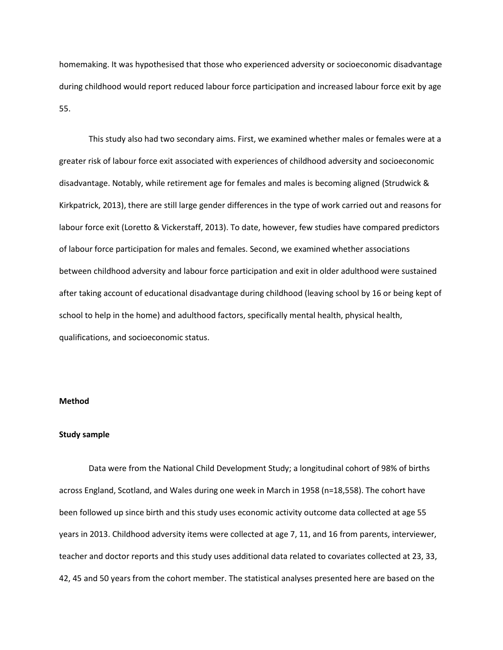homemaking. It was hypothesised that those who experienced adversity or socioeconomic disadvantage during childhood would report reduced labour force participation and increased labour force exit by age 55.

This study also had two secondary aims. First, we examined whether males or females were at a greater risk of labour force exit associated with experiences of childhood adversity and socioeconomic disadvantage. Notably, while retirement age for females and males is becoming aligned (Strudwick & Kirkpatrick, 2013), there are still large gender differences in the type of work carried out and reasons for labour force exit (Loretto & Vickerstaff, 2013). To date, however, few studies have compared predictors of labour force participation for males and females. Second, we examined whether associations between childhood adversity and labour force participation and exit in older adulthood were sustained after taking account of educational disadvantage during childhood (leaving school by 16 or being kept of school to help in the home) and adulthood factors, specifically mental health, physical health, qualifications, and socioeconomic status.

#### **Method**

#### **Study sample**

Data were from the National Child Development Study; a longitudinal cohort of 98% of births across England, Scotland, and Wales during one week in March in 1958 (n=18,558). The cohort have been followed up since birth and this study uses economic activity outcome data collected at age 55 years in 2013. Childhood adversity items were collected at age 7, 11, and 16 from parents, interviewer, teacher and doctor reports and this study uses additional data related to covariates collected at 23, 33, 42, 45 and 50 years from the cohort member. The statistical analyses presented here are based on the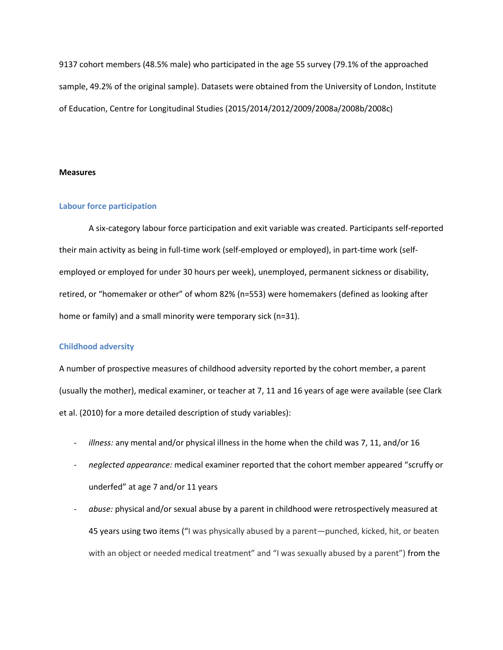9137 cohort members (48.5% male) who participated in the age 55 survey (79.1% of the approached sample, 49.2% of the original sample). Datasets were obtained from the University of London, Institute of Education, Centre for Longitudinal Studies (2015/2014/2012/2009/2008a/2008b/2008c)

#### **Measures**

#### **Labour force participation**

A six-category labour force participation and exit variable was created. Participants self-reported their main activity as being in full-time work (self-employed or employed), in part-time work (selfemployed or employed for under 30 hours per week), unemployed, permanent sickness or disability, retired, or "homemaker or other" of whom 82% (n=553) were homemakers (defined as looking after home or family) and a small minority were temporary sick (n=31).

#### **Childhood adversity**

A number of prospective measures of childhood adversity reported by the cohort member, a parent (usually the mother), medical examiner, or teacher at 7, 11 and 16 years of age were available (see Clark et al. (2010) for a more detailed description of study variables):

- *illness:* any mental and/or physical illness in the home when the child was 7, 11, and/or 16
- neglected appearance: medical examiner reported that the cohort member appeared "scruffy or underfed" at age 7 and/or 11 years
- *abuse:* physical and/or sexual abuse by a parent in childhood were retrospectively measured at 45 years using two items ("I was physically abused by a parent—punched, kicked, hit, or beaten with an object or needed medical treatment" and "I was sexually abused by a parent") from the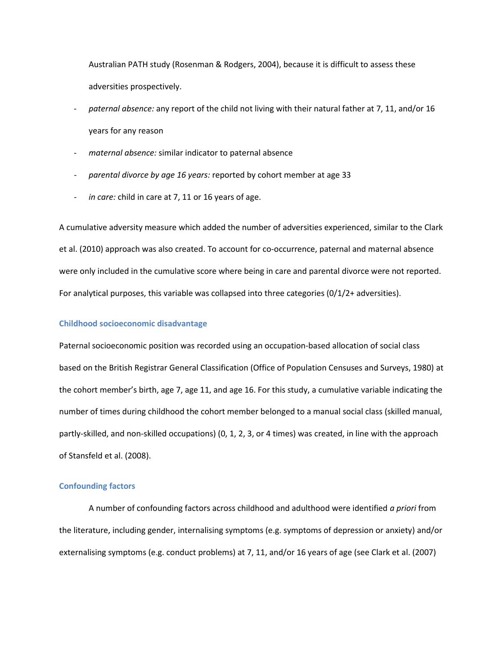Australian PATH study (Rosenman & Rodgers, 2004), because it is difficult to assess these adversities prospectively.

- paternal absence: any report of the child not living with their natural father at 7, 11, and/or 16 years for any reason
- maternal absence: similar indicator to paternal absence
- *parental divorce by age 16 years:* reported by cohort member at age 33
- in care: child in care at 7, 11 or 16 years of age.

A cumulative adversity measure which added the number of adversities experienced, similar to the Clark et al. (2010) approach was also created. To account for co-occurrence, paternal and maternal absence were only included in the cumulative score where being in care and parental divorce were not reported. For analytical purposes, this variable was collapsed into three categories (0/1/2+ adversities).

#### **Childhood socioeconomic disadvantage**

Paternal socioeconomic position was recorded using an occupation-based allocation of social class based on the British Registrar General Classification (Office of Population Censuses and Surveys, 1980) at the cohort member's birth, age 7, age 11, and age 16. For this study, a cumulative variable indicating the number of times during childhood the cohort member belonged to a manual social class (skilled manual, partly-skilled, and non-skilled occupations) (0, 1, 2, 3, or 4 times) was created, in line with the approach of Stansfeld et al. (2008).

#### **Confounding factors**

A number of confounding factors across childhood and adulthood were identified *a priori* from the literature, including gender, internalising symptoms (e.g. symptoms of depression or anxiety) and/or externalising symptoms (e.g. conduct problems) at 7, 11, and/or 16 years of age (see Clark et al. (2007)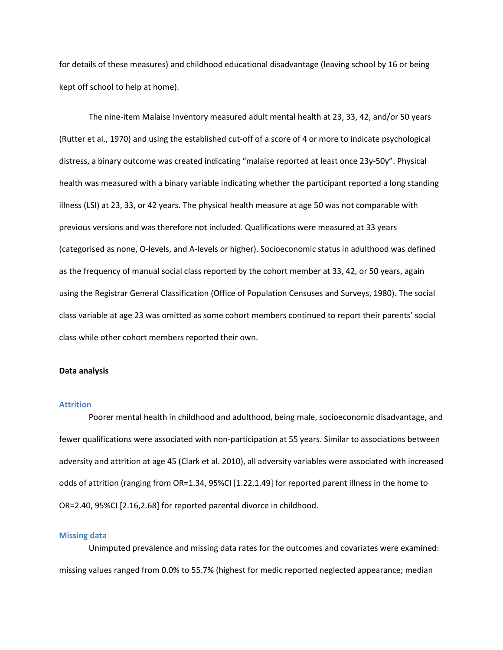for details of these measures) and childhood educational disadvantage (leaving school by 16 or being kept off school to help at home).

The nine-item Malaise Inventory measured adult mental health at 23, 33, 42, and/or 50 years (Rutter et al., 1970) and using the established cut-off of a score of 4 or more to indicate psychological distress, a binary outcome was created indicating "malaise reported at least once 23y-50y". Physical health was measured with a binary variable indicating whether the participant reported a long standing illness (LSI) at 23, 33, or 42 years. The physical health measure at age 50 was not comparable with previous versions and was therefore not included. Qualifications were measured at 33 years (categorised as none, O-levels, and A-levels or higher). Socioeconomic status in adulthood was defined as the frequency of manual social class reported by the cohort member at 33, 42, or 50 years, again using the Registrar General Classification (Office of Population Censuses and Surveys, 1980). The social class variable at age 23 was omitted as some cohort members continued to report their parents' social class while other cohort members reported their own.

#### **Data analysis**

#### **Attrition**

Poorer mental health in childhood and adulthood, being male, socioeconomic disadvantage, and fewer qualifications were associated with non-participation at 55 years. Similar to associations between adversity and attrition at age 45 (Clark et al. 2010), all adversity variables were associated with increased odds of attrition (ranging from OR=1.34, 95%CI [1.22,1.49] for reported parent illness in the home to OR=2.40, 95%CI [2.16,2.68] for reported parental divorce in childhood.

#### **Missing data**

Unimputed prevalence and missing data rates for the outcomes and covariates were examined: missing values ranged from 0.0% to 55.7% (highest for medic reported neglected appearance; median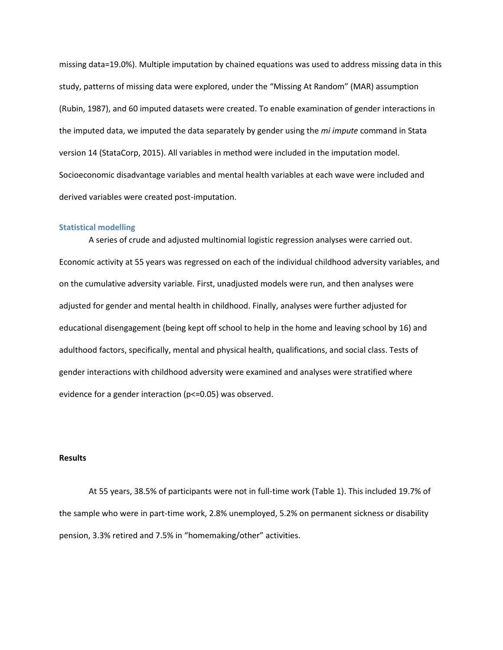missing data=19.0%). Multiple imputation by chained equations was used to address missing data in this study, patterns of missing data were explored, under the "Missing At Random" (MAR) assumption (Rubin, 1987), and 60 imputed datasets were created. To enable examination of gender interactions in the imputed data, we imputed the data separately by gender using the *mi impute* command in Stata version 14 (StataCorp, 2015). All variables in method were included in the imputation model. Socioeconomic disadvantage variables and mental health variables at each wave were included and derived variables were created post-imputation.

#### **Statistical modelling**

A series of crude and adjusted multinomial logistic regression analyses were carried out. Economic activity at 55 years was regressed on each of the individual childhood adversity variables, and on the cumulative adversity variable. First, unadjusted models were run, and then analyses were adjusted for gender and mental health in childhood. Finally, analyses were further adjusted for educational disengagement (being kept off school to help in the home and leaving school by 16) and adulthood factors, specifically, mental and physical health, qualifications, and social class. Tests of gender interactions with childhood adversity were examined and analyses were stratified where evidence for a gender interaction ( $p \le 0.05$ ) was observed.

#### **Results**

At 55 years, 38.5% of participants were not in full-time work (Table 1). This included 19.7% of the sample who were in part-time work, 2.8% unemployed, 5.2% on permanent sickness or disability pension, 3.3% retired and 7.5% in "homemaking/other" activities.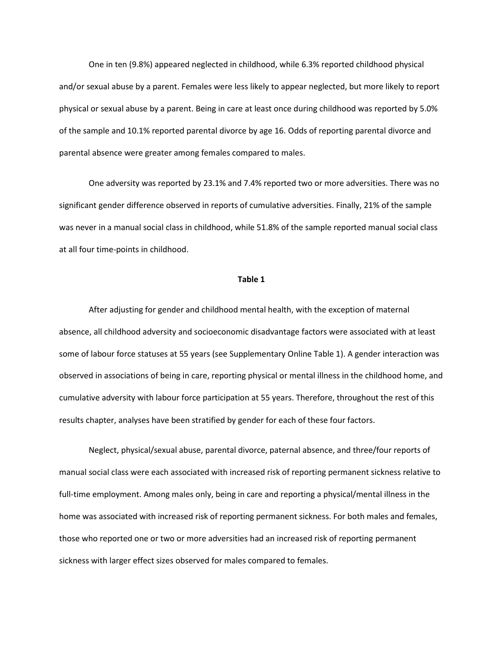One in ten (9.8%) appeared neglected in childhood, while 6.3% reported childhood physical and/or sexual abuse by a parent. Females were less likely to appear neglected, but more likely to report physical or sexual abuse by a parent. Being in care at least once during childhood was reported by 5.0% of the sample and 10.1% reported parental divorce by age 16. Odds of reporting parental divorce and parental absence were greater among females compared to males.

One adversity was reported by 23.1% and 7.4% reported two or more adversities. There was no significant gender difference observed in reports of cumulative adversities. Finally, 21% of the sample was never in a manual social class in childhood, while 51.8% of the sample reported manual social class at all four time-points in childhood.

#### **Table 1**

After adjusting for gender and childhood mental health, with the exception of maternal absence, all childhood adversity and socioeconomic disadvantage factors were associated with at least some of labour force statuses at 55 years (see Supplementary Online Table 1). A gender interaction was observed in associations of being in care, reporting physical or mental illness in the childhood home, and cumulative adversity with labour force participation at 55 years. Therefore, throughout the rest of this results chapter, analyses have been stratified by gender for each of these four factors.

Neglect, physical/sexual abuse, parental divorce, paternal absence, and three/four reports of manual social class were each associated with increased risk of reporting permanent sickness relative to full-time employment. Among males only, being in care and reporting a physical/mental illness in the home was associated with increased risk of reporting permanent sickness. For both males and females, those who reported one or two or more adversities had an increased risk of reporting permanent sickness with larger effect sizes observed for males compared to females.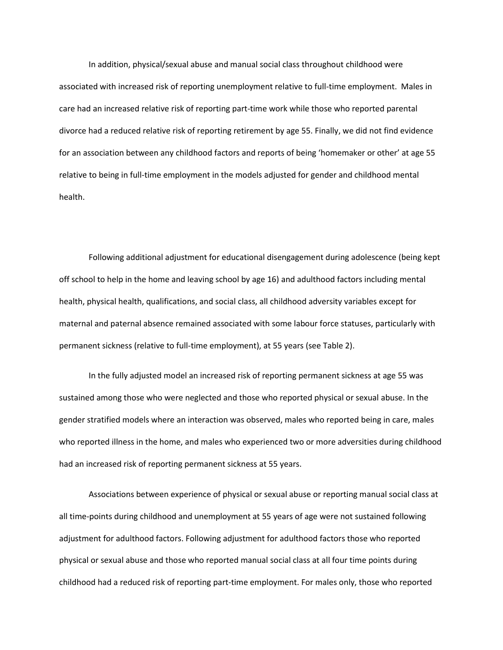In addition, physical/sexual abuse and manual social class throughout childhood were associated with increased risk of reporting unemployment relative to full-time employment. Males in care had an increased relative risk of reporting part-time work while those who reported parental divorce had a reduced relative risk of reporting retirement by age 55. Finally, we did not find evidence for an association between any childhood factors and reports of being 'homemaker or other' at age 55 relative to being in full-time employment in the models adjusted for gender and childhood mental health.

Following additional adjustment for educational disengagement during adolescence (being kept off school to help in the home and leaving school by age 16) and adulthood factors including mental health, physical health, qualifications, and social class, all childhood adversity variables except for maternal and paternal absence remained associated with some labour force statuses, particularly with permanent sickness (relative to full-time employment), at 55 years (see Table 2).

In the fully adjusted model an increased risk of reporting permanent sickness at age 55 was sustained among those who were neglected and those who reported physical or sexual abuse. In the gender stratified models where an interaction was observed, males who reported being in care, males who reported illness in the home, and males who experienced two or more adversities during childhood had an increased risk of reporting permanent sickness at 55 years.

Associations between experience of physical or sexual abuse or reporting manual social class at all time-points during childhood and unemployment at 55 years of age were not sustained following adjustment for adulthood factors. Following adjustment for adulthood factors those who reported physical or sexual abuse and those who reported manual social class at all four time points during childhood had a reduced risk of reporting part-time employment. For males only, those who reported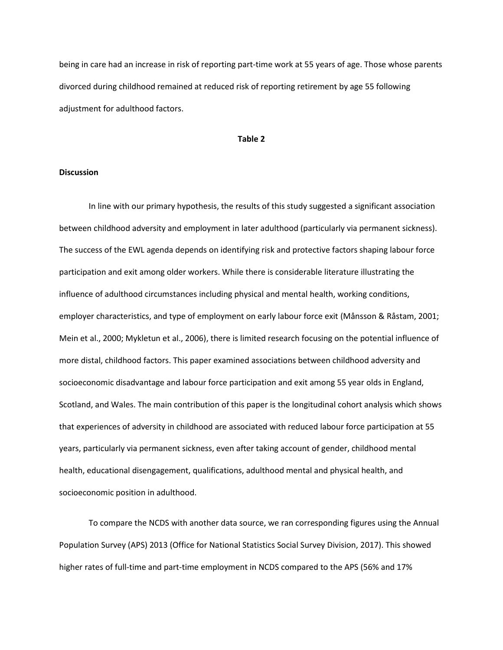being in care had an increase in risk of reporting part-time work at 55 years of age. Those whose parents divorced during childhood remained at reduced risk of reporting retirement by age 55 following adjustment for adulthood factors.

#### **Table 2**

#### **Discussion**

In line with our primary hypothesis, the results of this study suggested a significant association between childhood adversity and employment in later adulthood (particularly via permanent sickness). The success of the EWL agenda depends on identifying risk and protective factors shaping labour force participation and exit among older workers. While there is considerable literature illustrating the influence of adulthood circumstances including physical and mental health, working conditions, employer characteristics, and type of employment on early labour force exit (MÂnsson & RÂstam, 2001; Mein et al., 2000; Mykletun et al., 2006), there is limited research focusing on the potential influence of more distal, childhood factors. This paper examined associations between childhood adversity and socioeconomic disadvantage and labour force participation and exit among 55 year olds in England, Scotland, and Wales. The main contribution of this paper is the longitudinal cohort analysis which shows that experiences of adversity in childhood are associated with reduced labour force participation at 55 years, particularly via permanent sickness, even after taking account of gender, childhood mental health, educational disengagement, qualifications, adulthood mental and physical health, and socioeconomic position in adulthood.

To compare the NCDS with another data source, we ran corresponding figures using the Annual Population Survey (APS) 2013 (Office for National Statistics Social Survey Division, 2017). This showed higher rates of full-time and part-time employment in NCDS compared to the APS (56% and 17%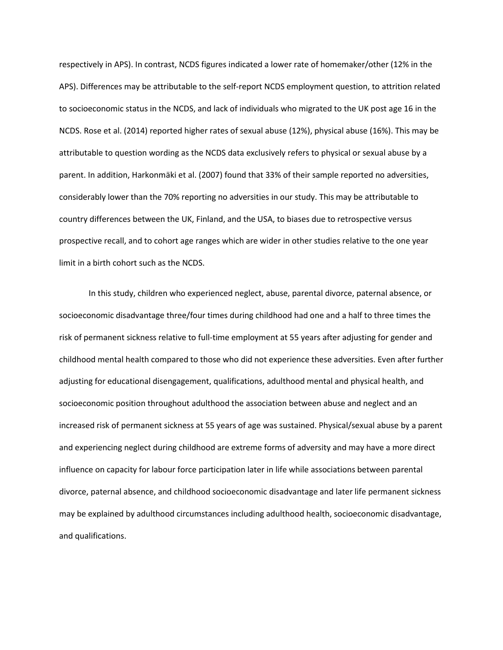respectively in APS). In contrast, NCDS figures indicated a lower rate of homemaker/other (12% in the APS). Differences may be attributable to the self-report NCDS employment question, to attrition related to socioeconomic status in the NCDS, and lack of individuals who migrated to the UK post age 16 in the NCDS. Rose et al. (2014) reported higher rates of sexual abuse (12%), physical abuse (16%). This may be attributable to question wording as the NCDS data exclusively refers to physical or sexual abuse by a parent. In addition, Harkonmäki et al. (2007) found that 33% of their sample reported no adversities, considerably lower than the 70% reporting no adversities in our study. This may be attributable to country differences between the UK, Finland, and the USA, to biases due to retrospective versus prospective recall, and to cohort age ranges which are wider in other studies relative to the one year limit in a birth cohort such as the NCDS.

In this study, children who experienced neglect, abuse, parental divorce, paternal absence, or socioeconomic disadvantage three/four times during childhood had one and a half to three times the risk of permanent sickness relative to full-time employment at 55 years after adjusting for gender and childhood mental health compared to those who did not experience these adversities. Even after further adjusting for educational disengagement, qualifications, adulthood mental and physical health, and socioeconomic position throughout adulthood the association between abuse and neglect and an increased risk of permanent sickness at 55 years of age was sustained. Physical/sexual abuse by a parent and experiencing neglect during childhood are extreme forms of adversity and may have a more direct influence on capacity for labour force participation later in life while associations between parental divorce, paternal absence, and childhood socioeconomic disadvantage and later life permanent sickness may be explained by adulthood circumstances including adulthood health, socioeconomic disadvantage, and qualifications.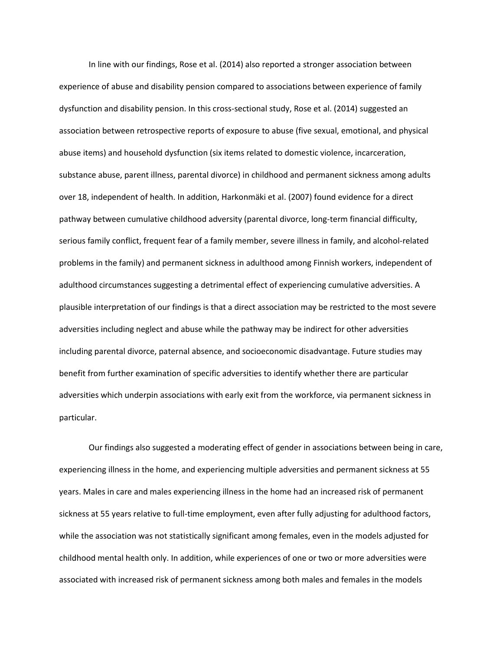In line with our findings, Rose et al. (2014) also reported a stronger association between experience of abuse and disability pension compared to associations between experience of family dysfunction and disability pension. In this cross-sectional study, Rose et al. (2014) suggested an association between retrospective reports of exposure to abuse (five sexual, emotional, and physical abuse items) and household dysfunction (six items related to domestic violence, incarceration, substance abuse, parent illness, parental divorce) in childhood and permanent sickness among adults over 18, independent of health. In addition, Harkonm‰ki et al. (2007) found evidence for a direct pathway between cumulative childhood adversity (parental divorce, long-term financial difficulty, serious family conflict, frequent fear of a family member, severe illness in family, and alcohol-related problems in the family) and permanent sickness in adulthood among Finnish workers, independent of adulthood circumstances suggesting a detrimental effect of experiencing cumulative adversities. A plausible interpretation of our findings is that a direct association may be restricted to the most severe adversities including neglect and abuse while the pathway may be indirect for other adversities including parental divorce, paternal absence, and socioeconomic disadvantage. Future studies may benefit from further examination of specific adversities to identify whether there are particular adversities which underpin associations with early exit from the workforce, via permanent sickness in particular.

Our findings also suggested a moderating effect of gender in associations between being in care, experiencing illness in the home, and experiencing multiple adversities and permanent sickness at 55 years. Males in care and males experiencing illness in the home had an increased risk of permanent sickness at 55 years relative to full-time employment, even after fully adjusting for adulthood factors, while the association was not statistically significant among females, even in the models adjusted for childhood mental health only. In addition, while experiences of one or two or more adversities were associated with increased risk of permanent sickness among both males and females in the models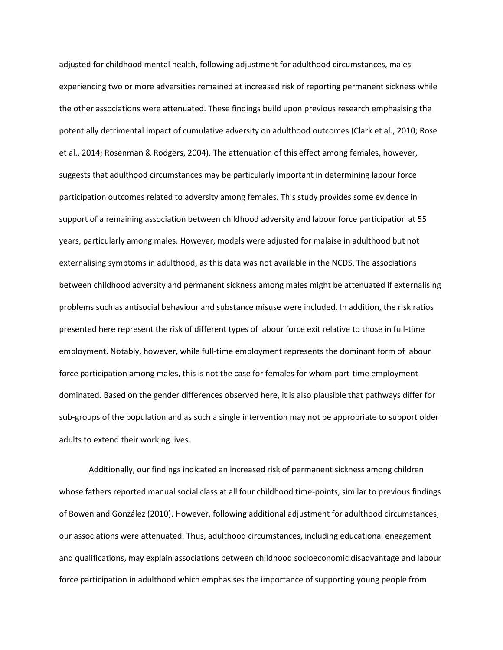adjusted for childhood mental health, following adjustment for adulthood circumstances, males experiencing two or more adversities remained at increased risk of reporting permanent sickness while the other associations were attenuated. These findings build upon previous research emphasising the potentially detrimental impact of cumulative adversity on adulthood outcomes (Clark et al., 2010; Rose et al., 2014; Rosenman & Rodgers, 2004). The attenuation of this effect among females, however, suggests that adulthood circumstances may be particularly important in determining labour force participation outcomes related to adversity among females. This study provides some evidence in support of a remaining association between childhood adversity and labour force participation at 55 years, particularly among males. However, models were adjusted for malaise in adulthood but not externalising symptoms in adulthood, as this data was not available in the NCDS. The associations between childhood adversity and permanent sickness among males might be attenuated if externalising problems such as antisocial behaviour and substance misuse were included. In addition, the risk ratios presented here represent the risk of different types of labour force exit relative to those in full-time employment. Notably, however, while full-time employment represents the dominant form of labour force participation among males, this is not the case for females for whom part-time employment dominated. Based on the gender differences observed here, it is also plausible that pathways differ for sub-groups of the population and as such a single intervention may not be appropriate to support older adults to extend their working lives.

Additionally, our findings indicated an increased risk of permanent sickness among children whose fathers reported manual social class at all four childhood time-points, similar to previous findings of Bowen and González (2010). However, following additional adjustment for adulthood circumstances, our associations were attenuated. Thus, adulthood circumstances, including educational engagement and qualifications, may explain associations between childhood socioeconomic disadvantage and labour force participation in adulthood which emphasises the importance of supporting young people from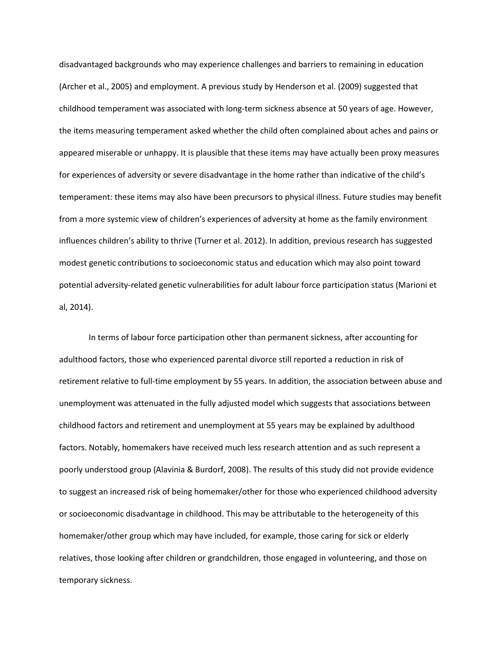disadvantaged backgrounds who may experience challenges and barriers to remaining in education (Archer et al., 2005) and employment. A previous study by Henderson et al. (2009) suggested that childhood temperament was associated with long-term sickness absence at 50 years of age. However, the items measuring temperament asked whether the child often complained about aches and pains or appeared miserable or unhappy. It is plausible that these items may have actually been proxy measures for experiences of adversity or severe disadvantage in the home rather than indicative of the child's temperament: these items may also have been precursors to physical illness. Future studies may benefit from a more systemic view of children's experiences of adversity at home as the family environment influences children's ability to thrive (Turner et al. 2012). In addition, previous research has suggested modest genetic contributions to socioeconomic status and education which may also point toward potential adversity-related genetic vulnerabilities for adult labour force participation status (Marioni et al, 2014).

In terms of labour force participation other than permanent sickness, after accounting for adulthood factors, those who experienced parental divorce still reported a reduction in risk of retirement relative to full-time employment by 55 years. In addition, the association between abuse and unemployment was attenuated in the fully adjusted model which suggests that associations between childhood factors and retirement and unemployment at 55 years may be explained by adulthood factors. Notably, homemakers have received much less research attention and as such represent a poorly understood group (Alavinia & Burdorf, 2008). The results of this study did not provide evidence to suggest an increased risk of being homemaker/other for those who experienced childhood adversity or socioeconomic disadvantage in childhood. This may be attributable to the heterogeneity of this homemaker/other group which may have included, for example, those caring for sick or elderly relatives, those looking after children or grandchildren, those engaged in volunteering, and those on temporary sickness.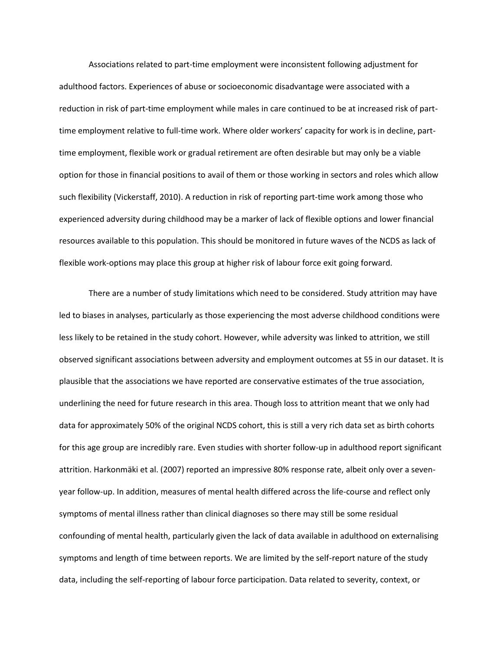Associations related to part-time employment were inconsistent following adjustment for adulthood factors. Experiences of abuse or socioeconomic disadvantage were associated with a reduction in risk of part-time employment while males in care continued to be at increased risk of parttime employment relative to full-time work. Where older workers' capacity for work is in decline, parttime employment, flexible work or gradual retirement are often desirable but may only be a viable option for those in financial positions to avail of them or those working in sectors and roles which allow such flexibility (Vickerstaff, 2010). A reduction in risk of reporting part-time work among those who experienced adversity during childhood may be a marker of lack of flexible options and lower financial resources available to this population. This should be monitored in future waves of the NCDS as lack of flexible work-options may place this group at higher risk of labour force exit going forward.

There are a number of study limitations which need to be considered. Study attrition may have led to biases in analyses, particularly as those experiencing the most adverse childhood conditions were less likely to be retained in the study cohort. However, while adversity was linked to attrition, we still observed significant associations between adversity and employment outcomes at 55 in our dataset. It is plausible that the associations we have reported are conservative estimates of the true association, underlining the need for future research in this area. Though loss to attrition meant that we only had data for approximately 50% of the original NCDS cohort, this is still a very rich data set as birth cohorts for this age group are incredibly rare. Even studies with shorter follow-up in adulthood report significant attrition. Harkonmäki et al. (2007) reported an impressive 80% response rate, albeit only over a sevenyear follow-up. In addition, measures of mental health differed across the life-course and reflect only symptoms of mental illness rather than clinical diagnoses so there may still be some residual confounding of mental health, particularly given the lack of data available in adulthood on externalising symptoms and length of time between reports. We are limited by the self-report nature of the study data, including the self-reporting of labour force participation. Data related to severity, context, or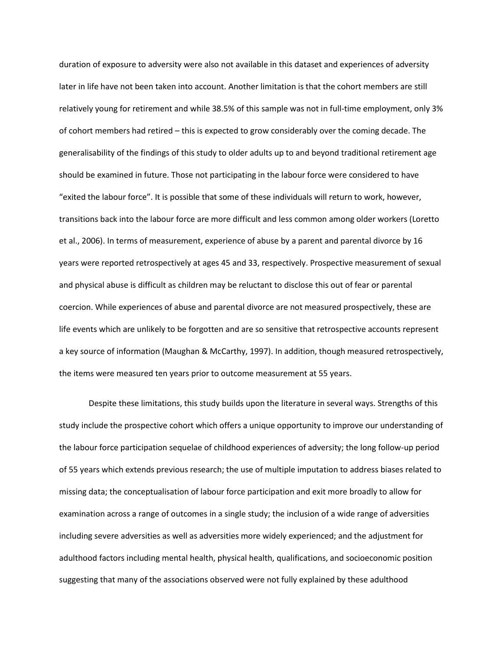duration of exposure to adversity were also not available in this dataset and experiences of adversity later in life have not been taken into account. Another limitation is that the cohort members are still relatively young for retirement and while 38.5% of this sample was not in full-time employment, only 3% of cohort members had retired - this is expected to grow considerably over the coming decade. The generalisability of the findings of this study to older adults up to and beyond traditional retirement age should be examined in future. Those not participating in the labour force were considered to have "exited the labour force". It is possible that some of these individuals will return to work, however, transitions back into the labour force are more difficult and less common among older workers (Loretto et al., 2006). In terms of measurement, experience of abuse by a parent and parental divorce by 16 years were reported retrospectively at ages 45 and 33, respectively. Prospective measurement of sexual and physical abuse is difficult as children may be reluctant to disclose this out of fear or parental coercion. While experiences of abuse and parental divorce are not measured prospectively, these are life events which are unlikely to be forgotten and are so sensitive that retrospective accounts represent a key source of information (Maughan & McCarthy, 1997). In addition, though measured retrospectively, the items were measured ten years prior to outcome measurement at 55 years.

Despite these limitations, this study builds upon the literature in several ways. Strengths of this study include the prospective cohort which offers a unique opportunity to improve our understanding of the labour force participation sequelae of childhood experiences of adversity; the long follow-up period of 55 years which extends previous research; the use of multiple imputation to address biases related to missing data; the conceptualisation of labour force participation and exit more broadly to allow for examination across a range of outcomes in a single study; the inclusion of a wide range of adversities including severe adversities as well as adversities more widely experienced; and the adjustment for adulthood factors including mental health, physical health, qualifications, and socioeconomic position suggesting that many of the associations observed were not fully explained by these adulthood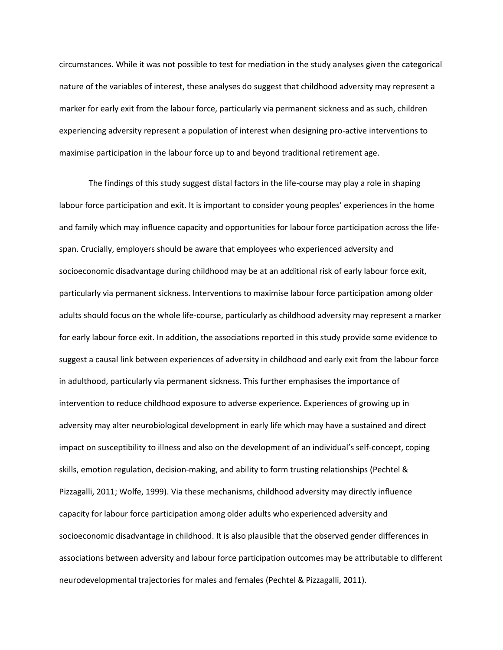circumstances. While it was not possible to test for mediation in the study analyses given the categorical nature of the variables of interest, these analyses do suggest that childhood adversity may represent a marker for early exit from the labour force, particularly via permanent sickness and as such, children experiencing adversity represent a population of interest when designing pro-active interventions to maximise participation in the labour force up to and beyond traditional retirement age.

The findings of this study suggest distal factors in the life-course may play a role in shaping labour force participation and exit. It is important to consider young peoples' experiences in the home and family which may influence capacity and opportunities for labour force participation across the lifespan. Crucially, employers should be aware that employees who experienced adversity and socioeconomic disadvantage during childhood may be at an additional risk of early labour force exit, particularly via permanent sickness. Interventions to maximise labour force participation among older adults should focus on the whole life-course, particularly as childhood adversity may represent a marker for early labour force exit. In addition, the associations reported in this study provide some evidence to suggest a causal link between experiences of adversity in childhood and early exit from the labour force in adulthood, particularly via permanent sickness. This further emphasises the importance of intervention to reduce childhood exposure to adverse experience. Experiences of growing up in adversity may alter neurobiological development in early life which may have a sustained and direct impact on susceptibility to illness and also on the development of an individual's self-concept, coping skills, emotion regulation, decision-making, and ability to form trusting relationships (Pechtel & Pizzagalli, 2011; Wolfe, 1999). Via these mechanisms, childhood adversity may directly influence capacity for labour force participation among older adults who experienced adversity and socioeconomic disadvantage in childhood. It is also plausible that the observed gender differences in associations between adversity and labour force participation outcomes may be attributable to different neurodevelopmental trajectories for males and females (Pechtel & Pizzagalli, 2011).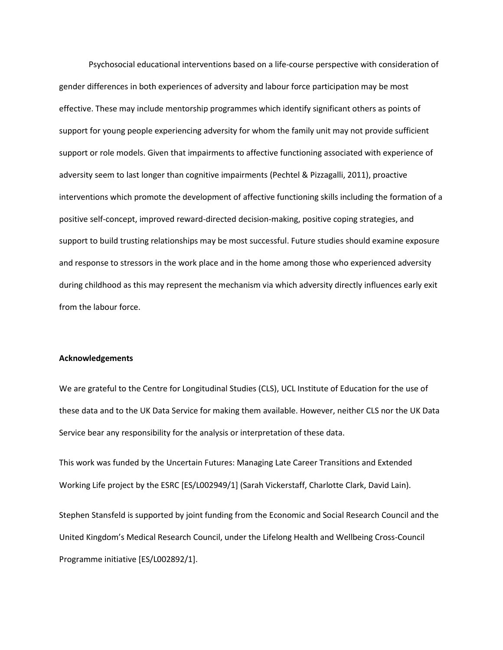Psychosocial educational interventions based on a life-course perspective with consideration of gender differences in both experiences of adversity and labour force participation may be most effective. These may include mentorship programmes which identify significant others as points of support for young people experiencing adversity for whom the family unit may not provide sufficient support or role models. Given that impairments to affective functioning associated with experience of adversity seem to last longer than cognitive impairments (Pechtel & Pizzagalli, 2011), proactive interventions which promote the development of affective functioning skills including the formation of a positive self-concept, improved reward-directed decision-making, positive coping strategies, and support to build trusting relationships may be most successful. Future studies should examine exposure and response to stressors in the work place and in the home among those who experienced adversity during childhood as this may represent the mechanism via which adversity directly influences early exit from the labour force.

#### **Acknowledgements**

We are grateful to the Centre for Longitudinal Studies (CLS), UCL Institute of Education for the use of these data and to the UK Data Service for making them available. However, neither CLS nor the UK Data Service bear any responsibility for the analysis or interpretation of these data.

This work was funded by the Uncertain Futures: Managing Late Career Transitions and Extended Working Life project by the ESRC [ES/L002949/1] (Sarah Vickerstaff, Charlotte Clark, David Lain).

Stephen Stansfeld is supported by joint funding from the Economic and Social Research Council and the United Kingdom's Medical Research Council, under the Lifelong Health and Wellbeing Cross-Council Programme initiative [ES/L002892/1].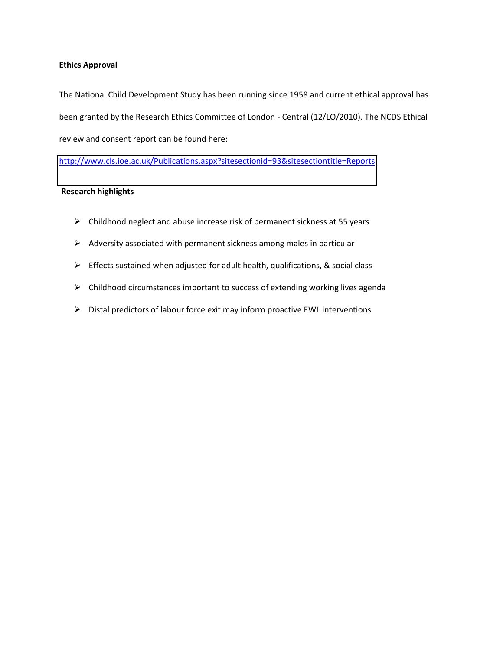#### **Ethics Approval**

The National Child Development Study has been running since 1958 and current ethical approval has been granted by the Research Ethics Committee of London - Central (12/LO/2010). The NCDS Ethical review and consent report can be found here:

<http://www.cls.ioe.ac.uk/Publications.aspx?sitesectionid=93&sitesectiontitle=Reports>

#### **Research highlights**

- $\triangleright$  Childhood neglect and abuse increase risk of permanent sickness at 55 years
- $\triangleright$  Adversity associated with permanent sickness among males in particular
- $\triangleright$  Effects sustained when adjusted for adult health, qualifications, & social class
- $\triangleright$  Childhood circumstances important to success of extending working lives agenda
- $\triangleright$  Distal predictors of labour force exit may inform proactive EWL interventions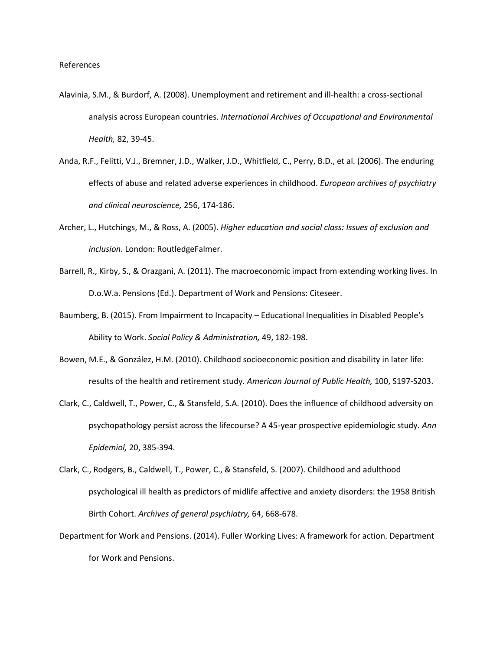- Alavinia, S.M., & Burdorf, A. (2008). Unemployment and retirement and ill-health: a cross-sectional analysis across European countries. *International Archives of Occupational and Environmental Health,* 82, 39-45.
- Anda, R.F., Felitti, V.J., Bremner, J.D., Walker, J.D., Whitfield, C., Perry, B.D., et al. (2006). The enduring effects of abuse and related adverse experiences in childhood. *European archives of psychiatry and clinical neuroscience,* 256, 174-186.
- Archer, L., Hutchings, M., & Ross, A. (2005). *Higher education and social class: Issues of exclusion and inclusion*. London: RoutledgeFalmer.
- Barrell, R., Kirby, S., & Orazgani, A. (2011). The macroeconomic impact from extending working lives. In D.o.W.a. Pensions (Ed.). Department of Work and Pensions: Citeseer.
- Baumberg, B. (2015). From Impairment to Incapacity Educational Inequalities in Disabled People's Ability to Work. *Social Policy & Administration,* 49, 182-198.
- Bowen, M.E., & González, H.M. (2010). Childhood socioeconomic position and disability in later life: results of the health and retirement study. *American Journal of Public Health,* 100, S197-S203.
- Clark, C., Caldwell, T., Power, C., & Stansfeld, S.A. (2010). Does the influence of childhood adversity on psychopathology persist across the lifecourse? A 45-year prospective epidemiologic study. *Ann Epidemiol,* 20, 385-394.
- Clark, C., Rodgers, B., Caldwell, T., Power, C., & Stansfeld, S. (2007). Childhood and adulthood psychological ill health as predictors of midlife affective and anxiety disorders: the 1958 British Birth Cohort. *Archives of general psychiatry,* 64, 668-678.
- Department for Work and Pensions. (2014). Fuller Working Lives: A framework for action. Department for Work and Pensions.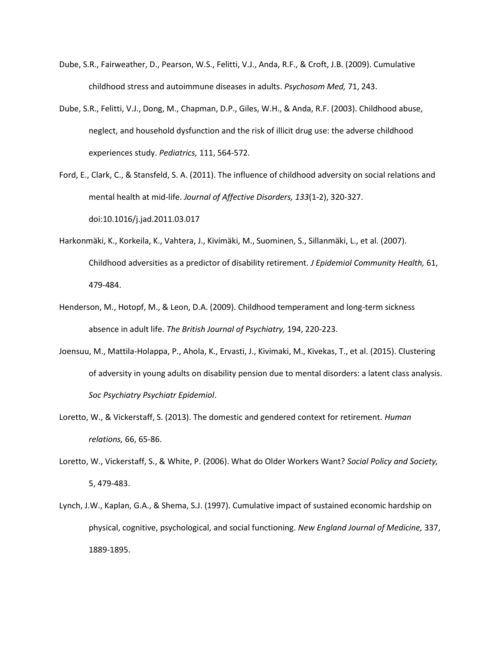- Dube, S.R., Fairweather, D., Pearson, W.S., Felitti, V.J., Anda, R.F., & Croft, J.B. (2009). Cumulative childhood stress and autoimmune diseases in adults. *Psychosom Med,* 71, 243.
- Dube, S.R., Felitti, V.J., Dong, M., Chapman, D.P., Giles, W.H., & Anda, R.F. (2003). Childhood abuse, neglect, and household dysfunction and the risk of illicit drug use: the adverse childhood experiences study. *Pediatrics,* 111, 564-572.

Ford, E., Clark, C., & Stansfeld, S. A. (2011). The influence of childhood adversity on social relations and mental health at mid-life. *Journal of Affective Disorders, 133*(1-2), 320-327. doi:10.1016/j.jad.2011.03.017

- Harkonmäki, K., Korkeila, K., Vahtera, J., Kivimäki, M., Suominen, S., Sillanmäki, L., et al. (2007). Childhood adversities as a predictor of disability retirement. *J Epidemiol Community Health,* 61, 479-484.
- Henderson, M., Hotopf, M., & Leon, D.A. (2009). Childhood temperament and long-term sickness absence in adult life. *The British Journal of Psychiatry,* 194, 220-223.
- Joensuu, M., Mattila-Holappa, P., Ahola, K., Ervasti, J., Kivimaki, M., Kivekas, T., et al. (2015). Clustering of adversity in young adults on disability pension due to mental disorders: a latent class analysis. *Soc Psychiatry Psychiatr Epidemiol*.
- Loretto, W., & Vickerstaff, S. (2013). The domestic and gendered context for retirement. *Human relations,* 66, 65-86.
- Loretto, W., Vickerstaff, S., & White, P. (2006). What do Older Workers Want? *Social Policy and Society,*  5, 479-483.
- Lynch, J.W., Kaplan, G.A., & Shema, S.J. (1997). Cumulative impact of sustained economic hardship on physical, cognitive, psychological, and social functioning. *New England Journal of Medicine,* 337, 1889-1895.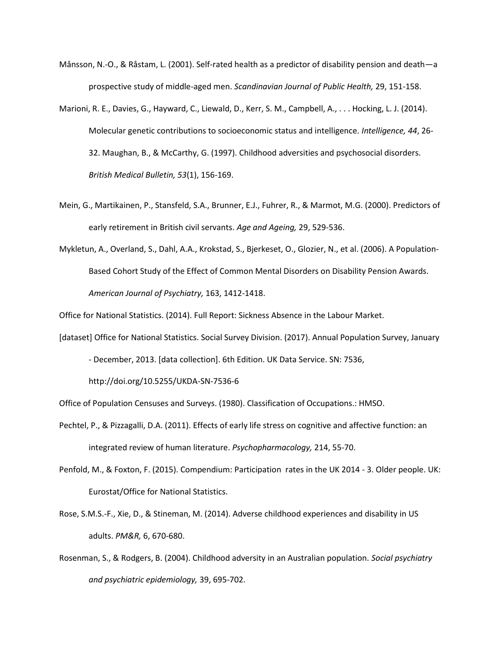- Månsson, N.-O., & Råstam, L. (2001). Self-rated health as a predictor of disability pension and death—a prospective study of middle-aged men. *Scandinavian Journal of Public Health,* 29, 151-158.
- Marioni, R. E., Davies, G., Hayward, C., Liewald, D., Kerr, S. M., Campbell, A., . . . Hocking, L. J. (2014). Molecular genetic contributions to socioeconomic status and intelligence. *Intelligence, 44*, 26- 32. Maughan, B., & McCarthy, G. (1997). Childhood adversities and psychosocial disorders. *British Medical Bulletin, 53*(1), 156-169.
- Mein, G., Martikainen, P., Stansfeld, S.A., Brunner, E.J., Fuhrer, R., & Marmot, M.G. (2000). Predictors of early retirement in British civil servants. *Age and Ageing,* 29, 529-536.
- Mykletun, A., Overland, S., Dahl, A.A., Krokstad, S., Bjerkeset, O., Glozier, N., et al. (2006). A Population-Based Cohort Study of the Effect of Common Mental Disorders on Disability Pension Awards. *American Journal of Psychiatry,* 163, 1412-1418.

Office for National Statistics. (2014). Full Report: Sickness Absence in the Labour Market.

[dataset] Office for National Statistics. Social Survey Division. (2017). Annual Population Survey, January

- December, 2013. [data collection]. 6th Edition. UK Data Service. SN: 7536,

http://doi.org/10.5255/UKDA-SN-7536-6

Office of Population Censuses and Surveys. (1980). Classification of Occupations.: HMSO.

- Pechtel, P., & Pizzagalli, D.A. (2011). Effects of early life stress on cognitive and affective function: an integrated review of human literature. *Psychopharmacology,* 214, 55-70.
- Penfold, M., & Foxton, F. (2015). Compendium: Participation rates in the UK 2014 3. Older people. UK: Eurostat/Office for National Statistics.
- Rose, S.M.S.-F., Xie, D., & Stineman, M. (2014). Adverse childhood experiences and disability in US adults. *PM&R,* 6, 670-680.
- Rosenman, S., & Rodgers, B. (2004). Childhood adversity in an Australian population. *Social psychiatry and psychiatric epidemiology,* 39, 695-702.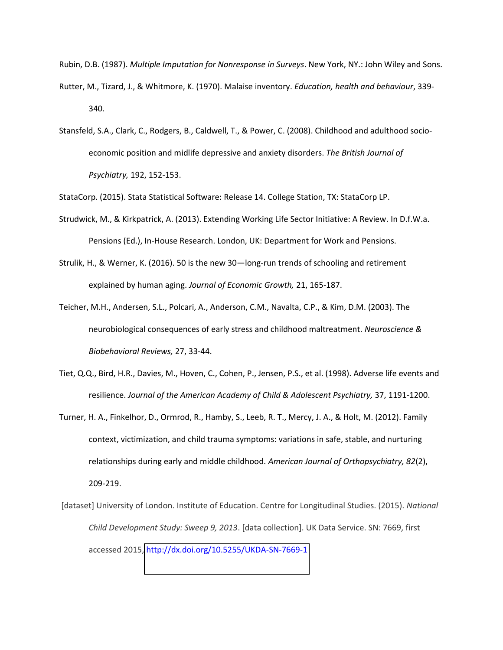Rubin, D.B. (1987). *Multiple Imputation for Nonresponse in Surveys*. New York, NY.: John Wiley and Sons.

- Rutter, M., Tizard, J., & Whitmore, K. (1970). Malaise inventory. *Education, health and behaviour*, 339- 340.
- Stansfeld, S.A., Clark, C., Rodgers, B., Caldwell, T., & Power, C. (2008). Childhood and adulthood socioeconomic position and midlife depressive and anxiety disorders. *The British Journal of Psychiatry,* 192, 152-153.

StataCorp. (2015). Stata Statistical Software: Release 14. College Station, TX: StataCorp LP.

- Strudwick, M., & Kirkpatrick, A. (2013). Extending Working Life Sector Initiative: A Review. In D.f.W.a. Pensions (Ed.), In-House Research. London, UK: Department for Work and Pensions.
- Strulik, H., & Werner, K. (2016). 50 is the new 30—long-run trends of schooling and retirement explained by human aging. *Journal of Economic Growth,* 21, 165-187.
- Teicher, M.H., Andersen, S.L., Polcari, A., Anderson, C.M., Navalta, C.P., & Kim, D.M. (2003). The neurobiological consequences of early stress and childhood maltreatment. *Neuroscience & Biobehavioral Reviews,* 27, 33-44.
- Tiet, Q.Q., Bird, H.R., Davies, M., Hoven, C., Cohen, P., Jensen, P.S., et al. (1998). Adverse life events and resilience. Journal of the American Academy of Child & Adolescent Psychiatry, 37, 1191-1200.
- Turner, H. A., Finkelhor, D., Ormrod, R., Hamby, S., Leeb, R. T., Mercy, J. A., & Holt, M. (2012). Family context, victimization, and child trauma symptoms: variations in safe, stable, and nurturing relationships during early and middle childhood. *American Journal of Orthopsychiatry, 82*(2), 209-219.
- [dataset] University of London. Institute of Education. Centre for Longitudinal Studies. (2015). *National Child Development Study: Sweep 9, 2013*. [data collection]. UK Data Service. SN: 7669, first accessed 2015,<http://dx.doi.org/10.5255/UKDA-SN-7669-1>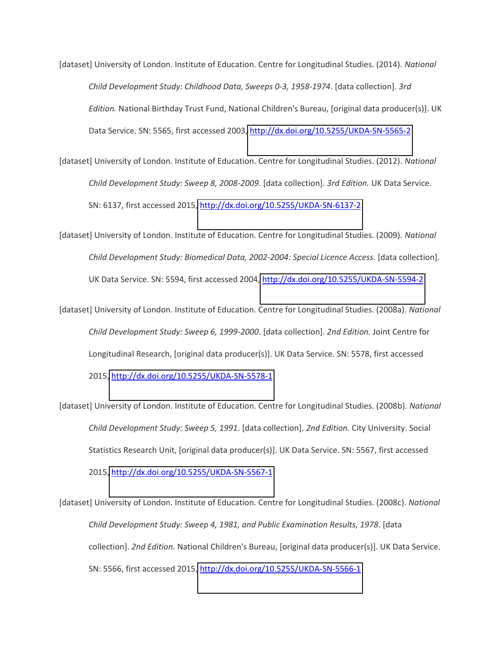[dataset] University of London. Institute of Education. Centre for Longitudinal Studies. (2014). *National Child Development Study: Childhood Data, Sweeps 0-3, 1958-1974*. [data collection]. *3rd Edition.* National Birthday Trust Fund, National Children's Bureau, [original data producer(s)]. UK Data Service. SN: 5565, first accessed 2003,<http://dx.doi.org/10.5255/UKDA-SN-5565-2>

[dataset] University of London. Institute of Education. Centre for Longitudinal Studies. (2012). *National Child Development Study: Sweep 8, 2008-2009*. [data collection]. *3rd Edition.* UK Data Service. SN: 6137, first accessed 2015,<http://dx.doi.org/10.5255/UKDA-SN-6137-2>

[dataset] University of London. Institute of Education. Centre for Longitudinal Studies. (2009). *National Child Development Study: Biomedical Data, 2002-2004: Special Licence Access*. [data collection]. UK Data Service. SN: 5594, first accessed 2004,<http://dx.doi.org/10.5255/UKDA-SN-5594-2>

[dataset] University of London. Institute of Education. Centre for Longitudinal Studies. (2008a). *National Child Development Study: Sweep 6, 1999-2000*. [data collection]. *2nd Edition.* Joint Centre for Longitudinal Research, [original data producer(s)]. UK Data Service. SN: 5578, first accessed 2015[, http://dx.doi.org/10.5255/UKDA-SN-5578-1](http://dx.doi.org/10.5255/UKDA-SN-5578-1)

[dataset] University of London. Institute of Education. Centre for Longitudinal Studies. (2008b). *National Child Development Study: Sweep 5, 1991*. [data collection]. *2nd Edition.* City University. Social Statistics Research Unit, [original data producer(s)]. UK Data Service. SN: 5567, first accessed 2015[, http://dx.doi.org/10.5255/UKDA-SN-5567-1](http://dx.doi.org/10.5255/UKDA-SN-5567-1)

[dataset] University of London. Institute of Education. Centre for Longitudinal Studies. (2008c). *National Child Development Study: Sweep 4, 1981, and Public Examination Results, 1978*. [data collection]. *2nd Edition.* National Children's Bureau, [original data producer(s)]. UK Data Service. SN: 5566, first accessed 2015,<http://dx.doi.org/10.5255/UKDA-SN-5566-1>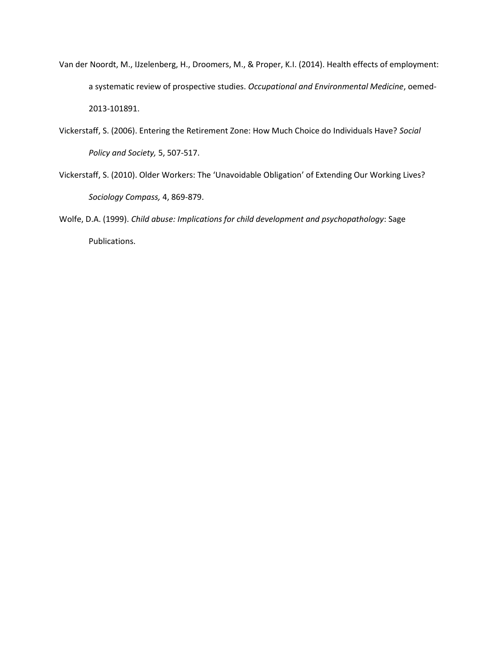- Van der Noordt, M., IJzelenberg, H., Droomers, M., & Proper, K.I. (2014). Health effects of employment: a systematic review of prospective studies. *Occupational and Environmental Medicine*, oemed-2013-101891.
- Vickerstaff, S. (2006). Entering the Retirement Zone: How Much Choice do Individuals Have? *Social Policy and Society,* 5, 507-517.
- Vickerstaff, S. (2010). Older Workers: The 'Unavoidable Obligation' of Extending Our Working Lives? *Sociology Compass,* 4, 869-879.
- Wolfe, D.A. (1999). *Child abuse: Implications for child development and psychopathology*: Sage Publications.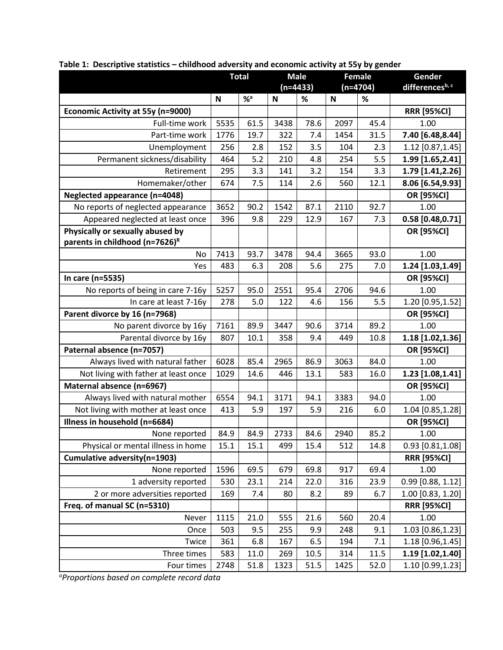|                                            | <b>Total</b> |                  | <b>Male</b> |      | <b>Female</b> |      | Gender              |
|--------------------------------------------|--------------|------------------|-------------|------|---------------|------|---------------------|
|                                            |              |                  | $(n=4433)$  |      | $(n=4704)$    |      | differencesb, c     |
|                                            | N            | $%$ <sup>a</sup> | N           | $\%$ | N             | %    |                     |
| <b>Economic Activity at 55y (n=9000)</b>   |              |                  |             |      |               |      | <b>RRR [95%CI]</b>  |
| Full-time work                             | 5535         | 61.5             | 3438        | 78.6 | 2097          | 45.4 | 1.00                |
| Part-time work                             | 1776         | 19.7             | 322         | 7.4  | 1454          | 31.5 | 7.40 [6.48,8.44]    |
| Unemployment                               | 256          | 2.8              | 152         | 3.5  | 104           | 2.3  | 1.12 [0.87,1.45]    |
| Permanent sickness/disability              | 464          | 5.2              | 210         | 4.8  | 254           | 5.5  | 1.99 [1.65,2.41]    |
| Retirement                                 | 295          | 3.3              | 141         | 3.2  | 154           | 3.3  | 1.79 [1.41,2.26]    |
| Homemaker/other                            | 674          | 7.5              | 114         | 2.6  | 560           | 12.1 | 8.06 [6.54,9.93]    |
| <b>Neglected appearance (n=4048)</b>       |              |                  |             |      |               |      | OR [95%CI]          |
| No reports of neglected appearance         | 3652         | 90.2             | 1542        | 87.1 | 2110          | 92.7 | 1.00                |
| Appeared neglected at least once           | 396          | 9.8              | 229         | 12.9 | 167           | 7.3  | $0.58$ [0.48,0.71]  |
| Physically or sexually abused by           |              |                  |             |      |               |      | OR [95%CI]          |
| parents in childhood (n=7626) <sup>R</sup> |              |                  |             |      |               |      |                     |
| No                                         | 7413         | 93.7             | 3478        | 94.4 | 3665          | 93.0 | 1.00                |
| Yes                                        | 483          | 6.3              | 208         | 5.6  | 275           | 7.0  | 1.24 [1.03,1.49]    |
| In care (n=5535)                           |              |                  |             |      |               |      | OR [95%CI]          |
| No reports of being in care 7-16y          | 5257         | 95.0             | 2551        | 95.4 | 2706          | 94.6 | 1.00                |
| In care at least 7-16y                     | 278          | 5.0              | 122         | 4.6  | 156           | 5.5  | 1.20 [0.95,1.52]    |
| Parent divorce by 16 (n=7968)              |              |                  |             |      |               |      | OR [95%CI]          |
| No parent divorce by 16y                   | 7161         | 89.9             | 3447        | 90.6 | 3714          | 89.2 | 1.00                |
| Parental divorce by 16y                    | 807          | 10.1             | 358         | 9.4  | 449           | 10.8 | 1.18 [1.02,1.36]    |
| Paternal absence (n=7057)                  |              |                  |             |      |               |      | OR [95%CI]          |
| Always lived with natural father           | 6028         | 85.4             | 2965        | 86.9 | 3063          | 84.0 | 1.00                |
| Not living with father at least once       | 1029         | 14.6             | 446         | 13.1 | 583           | 16.0 | 1.23 [1.08,1.41]    |
| Maternal absence (n=6967)                  |              |                  |             |      |               |      | OR [95%CI]          |
| Always lived with natural mother           | 6554         | 94.1             | 3171        | 94.1 | 3383          | 94.0 | 1.00                |
| Not living with mother at least once       | 413          | 5.9              | 197         | 5.9  | 216           | 6.0  | 1.04 [0.85,1.28]    |
| Illness in household (n=6684)              |              |                  |             |      |               |      | OR [95%CI]          |
| None reported                              | 84.9         | 84.9             | 2733        | 84.6 | 2940          | 85.2 | 1.00                |
| Physical or mental illness in home         | 15.1         | 15.1             | 499         | 15.4 | 512           | 14.8 | $0.93$ [0.81,1.08]  |
| Cumulative adversity(n=1903)               |              |                  |             |      |               |      | <b>RRR [95%CI]</b>  |
| None reported                              | 1596         | 69.5             | 679         | 69.8 | 917           | 69.4 | 1.00                |
| 1 adversity reported                       | 530          | 23.1             | 214         | 22.0 | 316           | 23.9 | $0.99$ [0.88, 1.12] |
| 2 or more adversities reported             | 169          | 7.4              | 80          | 8.2  | 89            | 6.7  | 1.00 [0.83, 1.20]   |
| Freq. of manual SC (n=5310)                |              |                  |             |      |               |      | <b>RRR [95%CI]</b>  |
| Never                                      | 1115         | 21.0             | 555         | 21.6 | 560           | 20.4 | 1.00                |
| Once                                       | 503          | 9.5              | 255         | 9.9  | 248           | 9.1  | 1.03 [0.86,1.23]    |
| Twice                                      | 361          | 6.8              | 167         | 6.5  | 194           | 7.1  | 1.18 [0.96,1.45]    |
| Three times                                | 583          | 11.0             | 269         | 10.5 | 314           | 11.5 | 1.19 [1.02,1.40]    |
| Four times                                 | 2748         | 51.8             | 1323        | 51.5 | 1425          | 52.0 | 1.10 [0.99,1.23]    |

Table 1: Descriptive statistics - childhood adversity and economic activity at 55y by gender

*aProportions based on complete record data*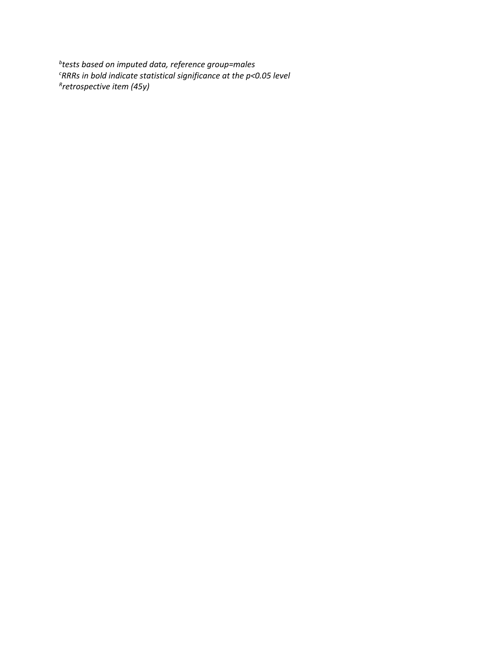*b tests based on imputed data, reference group=males <sup>c</sup>RRRs in bold indicate statistical significance at the p<0.05 level R retrospective item (45y)*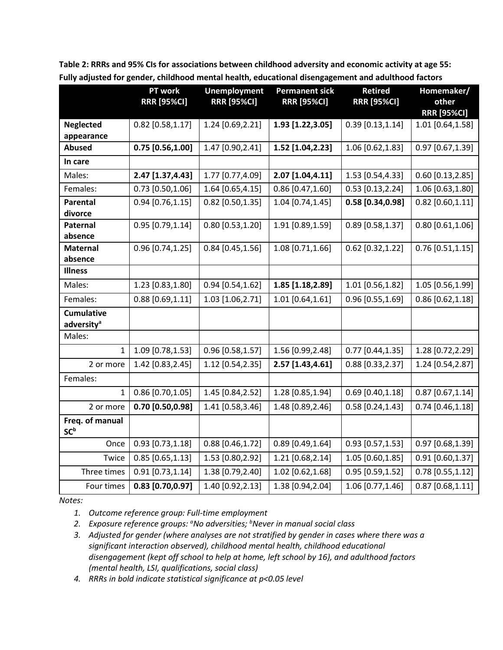|                                             | PT work<br><b>RRR [95%CI]</b> | <b>Unemployment</b><br><b>RRR [95%CI]</b> | <b>Permanent sick</b><br><b>RRR [95%CI]</b> | <b>Retired</b><br><b>RRR [95%CI]</b> | Homemaker/<br>other |
|---------------------------------------------|-------------------------------|-------------------------------------------|---------------------------------------------|--------------------------------------|---------------------|
|                                             |                               |                                           |                                             |                                      | <b>RRR [95%CI]</b>  |
| <b>Neglected</b>                            | $0.82$ [0.58,1.17]            | 1.24 [0.69,2.21]                          | 1.93 [1.22,3.05]                            | $0.39$ [0.13,1.14]                   | 1.01 [0.64,1.58]    |
| appearance                                  |                               |                                           |                                             |                                      |                     |
| <b>Abused</b>                               | 0.75 [0.56,1.00]              | 1.47 [0.90,2.41]                          | 1.52 [1.04,2.23]                            | 1.06 [0.62,1.83]                     | 0.97 [0.67,1.39]    |
| In care                                     |                               |                                           |                                             |                                      |                     |
| Males:                                      | 2.47 [1.37,4.43]              | 1.77 [0.77,4.09]                          | 2.07 [1.04,4.11]                            | 1.53 [0.54,4.33]                     | $0.60$ [0.13,2.85]  |
| Females:                                    | $0.73$ [0.50,1.06]            | 1.64 [0.65,4.15]                          | $0.86$ [0.47,1.60]                          | $0.53$ [0.13,2.24]                   | 1.06 [0.63,1.80]    |
| <b>Parental</b>                             | $0.94$ [0.76,1.15]            | $0.82$ [0.50,1.35]                        | 1.04 [0.74,1.45]                            | $0.58$ [0.34,0.98]                   | $0.82$ [0.60,1.11]  |
| divorce                                     |                               |                                           |                                             |                                      |                     |
| Paternal<br>absence                         | $0.95$ [0.79,1.14]            | $0.80$ [0.53,1.20]                        | 1.91 [0.89,1.59]                            | $0.89$ [0.58,1.37]                   | $0.80$ [0.61,1.06]  |
| <b>Maternal</b>                             | $0.96$ [0.74,1.25]            | $0.84$ [0.45,1.56]                        | 1.08 [0.71,1.66]                            | $0.62$ [0.32,1.22]                   | $0.76$ [0.51,1.15]  |
| absence                                     |                               |                                           |                                             |                                      |                     |
| <b>Illness</b>                              |                               |                                           |                                             |                                      |                     |
| Males:                                      | 1.23 [0.83,1.80]              | $0.94$ [0.54,1.62]                        | 1.85 [1.18,2.89]                            | 1.01 [0.56,1.82]                     | 1.05 [0.56,1.99]    |
| Females:                                    | $0.88$ [0.69,1.11]            | 1.03 [1.06, 2.71]                         | $1.01$ [0.64,1.61]                          | $0.96$ [0.55,1.69]                   | $0.86$ [0.62,1.18]  |
| <b>Cumulative</b><br>adversity <sup>a</sup> |                               |                                           |                                             |                                      |                     |
| Males:                                      |                               |                                           |                                             |                                      |                     |
| 1                                           | 1.09 [0.78,1.53]              | $0.96$ [0.58,1.57]                        | 1.56 [0.99,2.48]                            | $0.77$ [0.44,1.35]                   | 1.28 [0.72,2.29]    |
| 2 or more                                   | 1.42 [0.83,2.45]              | 1.12 [0.54,2.35]                          | 2.57 [1.43,4.61]                            | $0.88$ [0.33,2.37]                   | 1.24 [0.54,2.87]    |
| Females:                                    |                               |                                           |                                             |                                      |                     |
| $\mathbf{1}$                                | $0.86$ [0.70,1.05]            | 1.45 [0.84, 2.52]                         | 1.28 [0.85,1.94]                            | $0.69$ [0.40,1.18]                   | $0.87$ [0.67,1.14]  |
| 2 or more                                   | $0.70$ [0.50,0.98]            | 1.41 [0.58,3.46]                          | 1.48 [0.89,2.46]                            | $0.58$ [0.24,1.43]                   | $0.74$ [0.46,1.18]  |
| Freq. of manual<br>SC <sup>b</sup>          |                               |                                           |                                             |                                      |                     |
| Once                                        | $0.93$ [0.73,1.18]            | $0.88$ [0.46,1.72]                        | $0.89$ [0.49,1.64]                          | $0.93$ [0.57,1.53]                   | $0.97$ [0.68,1.39]  |
| Twice                                       | $0.85$ [0.65,1.13]            | 1.53 [0.80, 2.92]                         | 1.21 [0.68,2.14]                            | 1.05 [0.60,1.85]                     | $0.91$ [0.60,1.37]  |
| Three times                                 | $0.91$ [0.73,1.14]            | 1.38 [0.79,2.40]                          | 1.02 [0.62,1.68]                            | $0.95$ [0.59,1.52]                   | $0.78$ [0.55,1.12]  |
| Four times                                  | $0.83$ [0.70,0.97]            | 1.40 [0.92,2.13]                          | 1.38 [0.94,2.04]                            | 1.06 [0.77,1.46]                     | $0.87$ [0.68,1.11]  |

**Table 2: RRRs and 95% CIs for associations between childhood adversity and economic activity at age 55: Fully adjusted for gender, childhood mental health, educational disengagement and adulthood factors** 

*Notes:* 

*1. Outcome reference group: Full-time employment* 

*2. Exposure reference groups: <sup>a</sup>No adversities; <sup>b</sup>Never in manual social class* 

*3. Adjusted for gender (where analyses are not stratified by gender in cases where there was a significant interaction observed), childhood mental health, childhood educational disengagement (kept off school to help at home, left school by 16), and adulthood factors (mental health, LSI, qualifications, social class)* 

*4. RRRs in bold indicate statistical significance at p<0.05 level*